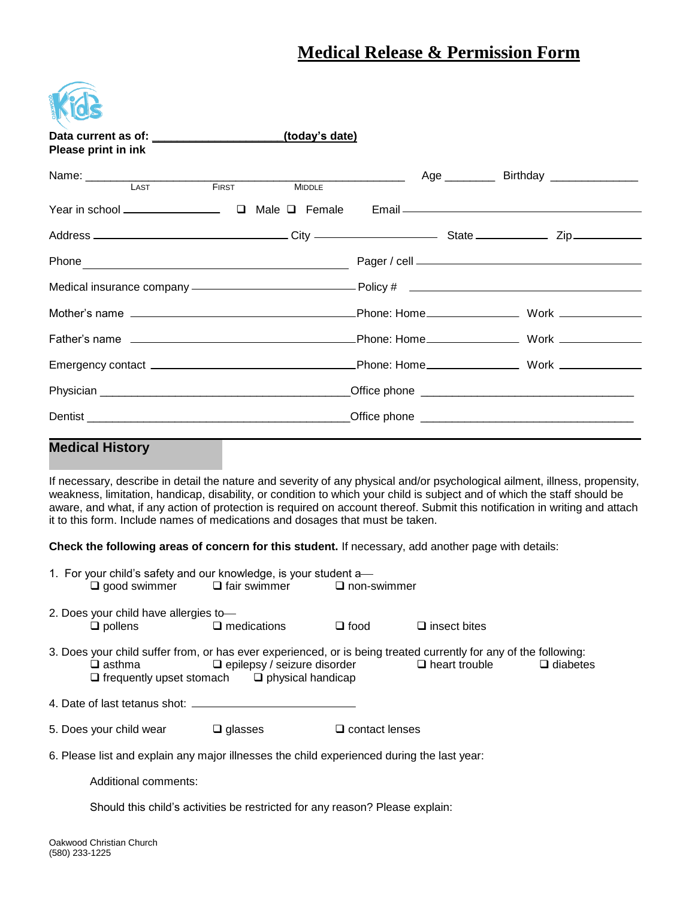# **Medical Release & Permission Form**

| Please print in ink                                                                                                |  | <u>(today's date)</u> |  |  |                                                                                                                                  |  |
|--------------------------------------------------------------------------------------------------------------------|--|-----------------------|--|--|----------------------------------------------------------------------------------------------------------------------------------|--|
| Name: LAST FIRST MIDDLE                                                                                            |  |                       |  |  | Age ____________ Birthday _________________                                                                                      |  |
|                                                                                                                    |  |                       |  |  | Email <u>Commission and Commission and Commission and Commission and Commission and Commission and Commission and Commission</u> |  |
|                                                                                                                    |  |                       |  |  |                                                                                                                                  |  |
|                                                                                                                    |  |                       |  |  |                                                                                                                                  |  |
|                                                                                                                    |  |                       |  |  |                                                                                                                                  |  |
|                                                                                                                    |  |                       |  |  |                                                                                                                                  |  |
|                                                                                                                    |  |                       |  |  |                                                                                                                                  |  |
|                                                                                                                    |  |                       |  |  |                                                                                                                                  |  |
|                                                                                                                    |  |                       |  |  |                                                                                                                                  |  |
|                                                                                                                    |  |                       |  |  |                                                                                                                                  |  |
| <u> 2001 - Jan Barbara a San Barbara a San Barbara a Tsara a Tsara a Tsara a Tsara a Tsara a Tsara a Tsara a T</u> |  |                       |  |  |                                                                                                                                  |  |

### **Medical History**

If necessary, describe in detail the nature and severity of any physical and/or psychological ailment, illness, propensity, weakness, limitation, handicap, disability, or condition to which your child is subject and of which the staff should be aware, and what, if any action of protection is required on account thereof. Submit this notification in writing and attach it to this form. Include names of medications and dosages that must be taken.

**Check the following areas of concern for this student.** If necessary, add another page with details:

|                                                                                            |                                                                                                                                                                                                                                                                             | 1. For your child's safety and our knowledge, is your student a—<br>$\Box$ good swimmer $\Box$ fair swimmer $\Box$ non-swimmer |                       |                     |  |  |  |  |  |  |
|--------------------------------------------------------------------------------------------|-----------------------------------------------------------------------------------------------------------------------------------------------------------------------------------------------------------------------------------------------------------------------------|--------------------------------------------------------------------------------------------------------------------------------|-----------------------|---------------------|--|--|--|--|--|--|
|                                                                                            | 2. Does your child have allergies to-<br>$\Box$ pollens                                                                                                                                                                                                                     | $\square$ medications                                                                                                          | $\square$ food        | $\Box$ insect bites |  |  |  |  |  |  |
|                                                                                            | 3. Does your child suffer from, or has ever experienced, or is being treated currently for any of the following:<br>$\Box$ epilepsy / seizure disorder $\Box$ heart trouble<br>$\Box$ diabetes<br>$\Box$ asthma<br>$\Box$ frequently upset stomach $\Box$ physical handicap |                                                                                                                                |                       |                     |  |  |  |  |  |  |
|                                                                                            |                                                                                                                                                                                                                                                                             |                                                                                                                                |                       |                     |  |  |  |  |  |  |
|                                                                                            | 5. Does your child wear                                                                                                                                                                                                                                                     | $\square$ glasses                                                                                                              | $\Box$ contact lenses |                     |  |  |  |  |  |  |
| 6. Please list and explain any major illnesses the child experienced during the last year: |                                                                                                                                                                                                                                                                             |                                                                                                                                |                       |                     |  |  |  |  |  |  |
|                                                                                            | Additional comments:                                                                                                                                                                                                                                                        |                                                                                                                                |                       |                     |  |  |  |  |  |  |

Should this child's activities be restricted for any reason? Please explain: